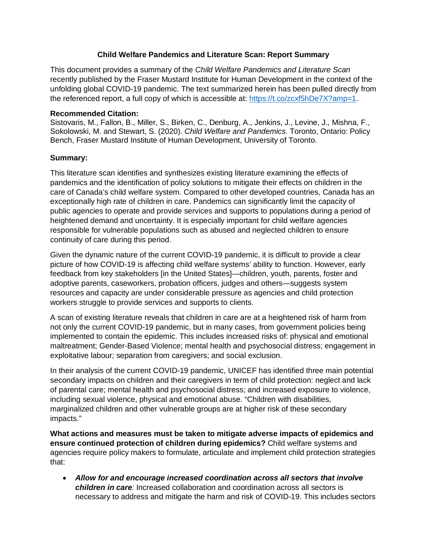## **Child Welfare Pandemics and Literature Scan: Report Summary**

This document provides a summary of the *Child Welfare Pandemics and Literature Scan*  recently published by the Fraser Mustard Institute for Human Development in the context of the unfolding global COVID-19 pandemic. The text summarized herein has been pulled directly from the referenced report, a full copy of which is accessible at: [https://t.co/zcxf5hDe7X?amp=1.](https://t.co/zcxf5hDe7X?amp=1)

## **Recommended Citation:**

Sistovaris, M., Fallon, B., Miller, S., Birken, C., Denburg, A., Jenkins, J., Levine, J., Mishna, F., Sokolowski, M. and Stewart, S. (2020). *Child Welfare and Pandemics.* Toronto, Ontario: Policy Bench, Fraser Mustard Institute of Human Development, University of Toronto.

## **Summary:**

This literature scan identifies and synthesizes existing literature examining the effects of pandemics and the identification of policy solutions to mitigate their effects on children in the care of Canada's child welfare system. Compared to other developed countries, Canada has an exceptionally high rate of children in care. Pandemics can significantly limit the capacity of public agencies to operate and provide services and supports to populations during a period of heightened demand and uncertainty. It is especially important for child welfare agencies responsible for vulnerable populations such as abused and neglected children to ensure continuity of care during this period.

Given the dynamic nature of the current COVID-19 pandemic, it is difficult to provide a clear picture of how COVID-19 is affecting child welfare systems' ability to function. However, early feedback from key stakeholders [in the United States]—children, youth, parents, foster and adoptive parents, caseworkers, probation officers, judges and others—suggests system resources and capacity are under considerable pressure as agencies and child protection workers struggle to provide services and supports to clients.

A scan of existing literature reveals that children in care are at a heightened risk of harm from not only the current COVID-19 pandemic, but in many cases, from government policies being implemented to contain the epidemic. This includes increased risks of: physical and emotional maltreatment; Gender-Based Violence; mental health and psychosocial distress; engagement in exploitative labour; separation from caregivers; and social exclusion.

In their analysis of the current COVID-19 pandemic, UNICEF has identified three main potential secondary impacts on children and their caregivers in term of child protection: neglect and lack of parental care; mental health and psychosocial distress; and increased exposure to violence, including sexual violence, physical and emotional abuse. "Children with disabilities, marginalized children and other vulnerable groups are at higher risk of these secondary impacts."

**What actions and measures must be taken to mitigate adverse impacts of epidemics and ensure continued protection of children during epidemics?** Child welfare systems and agencies require policy makers to formulate, articulate and implement child protection strategies that:

• *Allow for and encourage increased coordination across all sectors that involve children in care:* Increased collaboration and coordination across all sectors is necessary to address and mitigate the harm and risk of COVID-19. This includes sectors